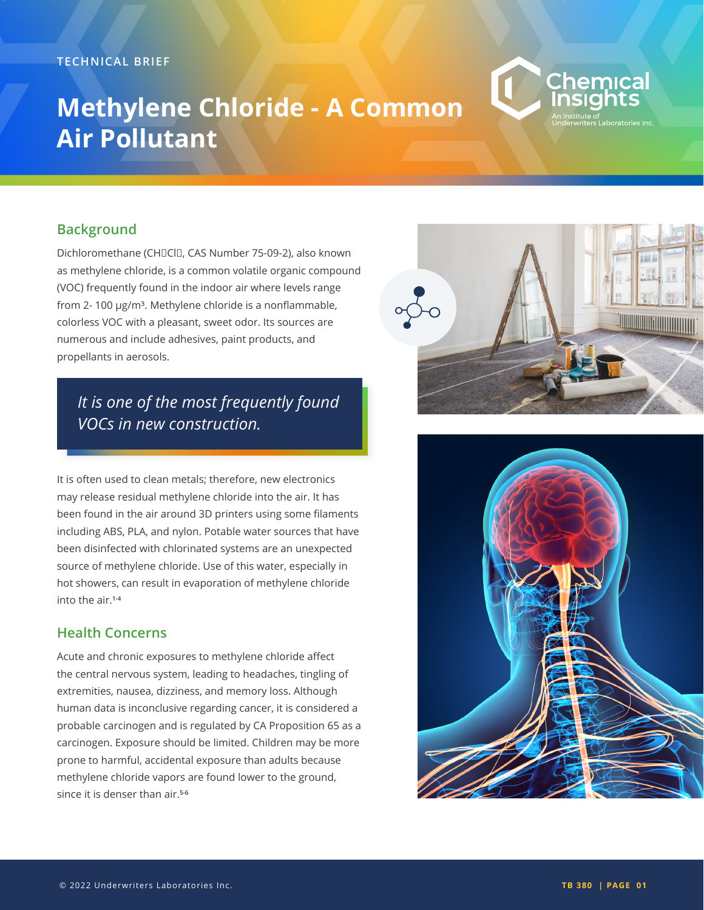# **Methylene Chloride - A Common Air Pollutant**



#### **Background**

Dichloromethane (CHIICIII, CAS Number 75-09-2), also known as methylene chloride, is a common volatile organic compound (VOC) frequently found in the indoor air where levels range from 2-100 µg/m<sup>3</sup>. Methylene chloride is a nonflammable, colorless VOC with a pleasant, sweet odor. Its sources are numerous and include adhesives, paint products, and propellants in aerosols.

## *It is one of the most frequently found VOCs in new construction.*

It is often used to clean metals; therefore, new electronics may release residual methylene chloride into the air. It has been found in the air around 3D printers using some filaments including ABS, PLA, and nylon. Potable water sources that have been disinfected with chlorinated systems are an unexpected source of methylene chloride. Use of this water, especially in hot showers, can result in evaporation of methylene chloride into the air.**1-4**

#### **Health Concerns**

Acute and chronic exposures to methylene chloride affect the central nervous system, leading to headaches, tingling of extremities, nausea, dizziness, and memory loss. Although human data is inconclusive regarding cancer, it is considered a probable carcinogen and is regulated by CA Proposition 65 as a carcinogen. Exposure should be limited. Children may be more prone to harmful, accidental exposure than adults because methylene chloride vapors are found lower to the ground, since it is denser than air.**5-6**



Chemical

iitute of<br>writers Laboratories Inc

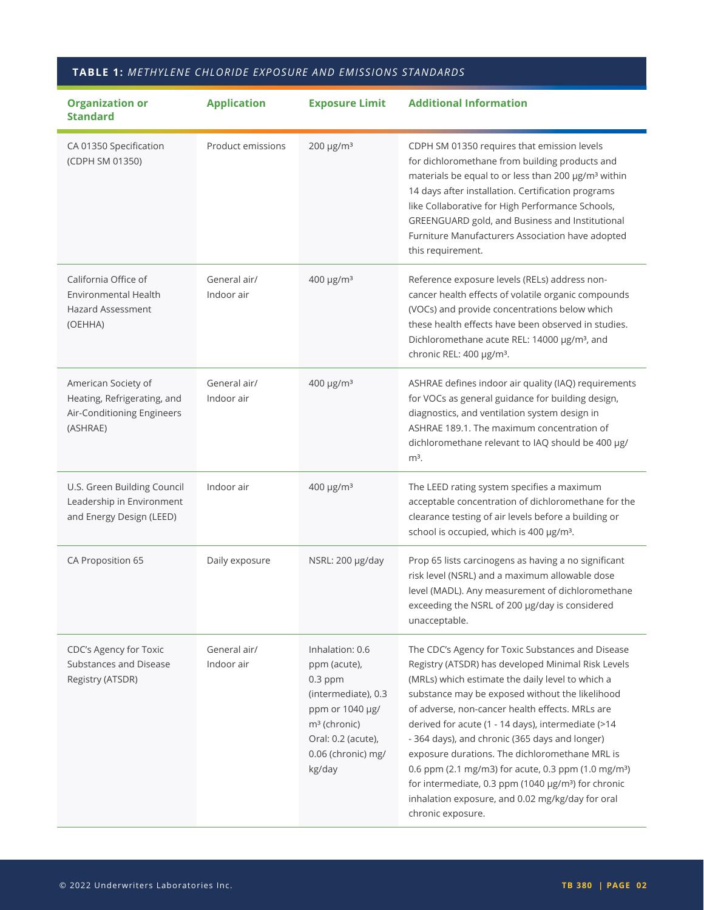### **TABLE 1:** *METHYLENE CHLORIDE EXPOSURE AND EMISSIONS STANDARDS*

| <b>Organization or</b><br><b>Standard</b>                                                    | <b>Application</b>         | <b>Exposure Limit</b>                                                                                                                                          | <b>Additional Information</b>                                                                                                                                                                                                                                                                                                                                                                                                                                                                                                                                                                                                              |
|----------------------------------------------------------------------------------------------|----------------------------|----------------------------------------------------------------------------------------------------------------------------------------------------------------|--------------------------------------------------------------------------------------------------------------------------------------------------------------------------------------------------------------------------------------------------------------------------------------------------------------------------------------------------------------------------------------------------------------------------------------------------------------------------------------------------------------------------------------------------------------------------------------------------------------------------------------------|
| CA 01350 Specification<br>(CDPH SM 01350)                                                    | Product emissions          | 200 µg/m <sup>3</sup>                                                                                                                                          | CDPH SM 01350 requires that emission levels<br>for dichloromethane from building products and<br>materials be equal to or less than 200 µg/m <sup>3</sup> within<br>14 days after installation. Certification programs<br>like Collaborative for High Performance Schools,<br>GREENGUARD gold, and Business and Institutional<br>Furniture Manufacturers Association have adopted<br>this requirement.                                                                                                                                                                                                                                     |
| California Office of<br>Environmental Health<br><b>Hazard Assessment</b><br>(OEHHA)          | General air/<br>Indoor air | 400 µg/m <sup>3</sup>                                                                                                                                          | Reference exposure levels (RELs) address non-<br>cancer health effects of volatile organic compounds<br>(VOCs) and provide concentrations below which<br>these health effects have been observed in studies.<br>Dichloromethane acute REL: 14000 µg/m <sup>3</sup> , and<br>chronic REL: 400 µg/m <sup>3</sup> .                                                                                                                                                                                                                                                                                                                           |
| American Society of<br>Heating, Refrigerating, and<br>Air-Conditioning Engineers<br>(ASHRAE) | General air/<br>Indoor air | 400 µg/m <sup>3</sup>                                                                                                                                          | ASHRAE defines indoor air quality (IAQ) requirements<br>for VOCs as general guidance for building design,<br>diagnostics, and ventilation system design in<br>ASHRAE 189.1. The maximum concentration of<br>dichloromethane relevant to IAQ should be 400 µg/<br>$m3$ .                                                                                                                                                                                                                                                                                                                                                                    |
| U.S. Green Building Council<br>Leadership in Environment<br>and Energy Design (LEED)         | Indoor air                 | 400 µg/m <sup>3</sup>                                                                                                                                          | The LEED rating system specifies a maximum<br>acceptable concentration of dichloromethane for the<br>clearance testing of air levels before a building or<br>school is occupied, which is 400 µg/m <sup>3</sup> .                                                                                                                                                                                                                                                                                                                                                                                                                          |
| CA Proposition 65                                                                            | Daily exposure             | NSRL: 200 µg/day                                                                                                                                               | Prop 65 lists carcinogens as having a no significant<br>risk level (NSRL) and a maximum allowable dose<br>level (MADL). Any measurement of dichloromethane<br>exceeding the NSRL of 200 µg/day is considered<br>unacceptable.                                                                                                                                                                                                                                                                                                                                                                                                              |
| CDC's Agency for Toxic<br>Substances and Disease<br>Registry (ATSDR)                         | General air/<br>Indoor air | Inhalation: 0.6<br>ppm (acute),<br>$0.3$ ppm<br>(intermediate), 0.3<br>ppm or 1040 µg/<br>$m3$ (chronic)<br>Oral: 0.2 (acute),<br>0.06 (chronic) mg/<br>kg/day | The CDC's Agency for Toxic Substances and Disease<br>Registry (ATSDR) has developed Minimal Risk Levels<br>(MRLs) which estimate the daily level to which a<br>substance may be exposed without the likelihood<br>of adverse, non-cancer health effects. MRLs are<br>derived for acute (1 - 14 days), intermediate (>14<br>- 364 days), and chronic (365 days and longer)<br>exposure durations. The dichloromethane MRL is<br>0.6 ppm (2.1 mg/m3) for acute, 0.3 ppm (1.0 mg/m <sup>3</sup> )<br>for intermediate, 0.3 ppm (1040 µg/m <sup>3</sup> ) for chronic<br>inhalation exposure, and 0.02 mg/kg/day for oral<br>chronic exposure. |